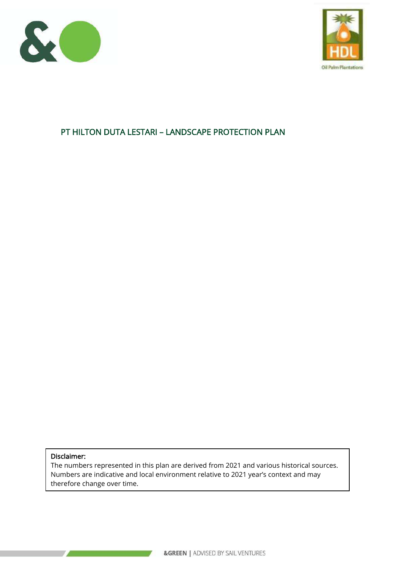



# PT HILTON DUTA LESTARI – LANDSCAPE PROTECTION PLAN

#### Disclaimer:

The numbers represented in this plan are derived from 2021 and various historical sources. Numbers are indicative and local environment relative to 2021 year's context and may therefore change over time.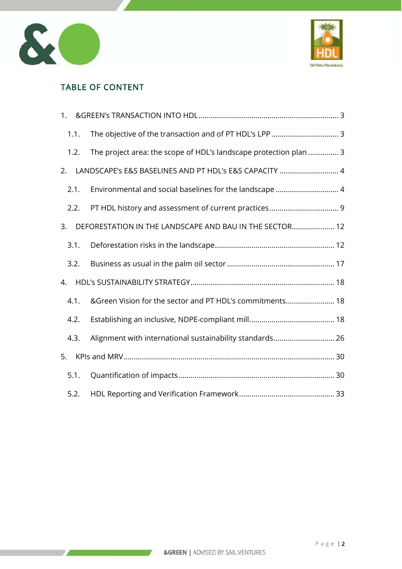



# TABLE OF CONTENT

| 1. |      |                                                                   |  |
|----|------|-------------------------------------------------------------------|--|
|    | 1.1. |                                                                   |  |
|    | 1.2. | The project area: the scope of HDL's landscape protection plan  3 |  |
| 2. |      | LANDSCAPE's E&S BASELINES AND PT HDL's E&S CAPACITY  4            |  |
|    | 2.1. | Environmental and social baselines for the landscape  4           |  |
|    | 2.2. |                                                                   |  |
| 3. |      | DEFORESTATION IN THE LANDSCAPE AND BAU IN THE SECTOR 12           |  |
|    | 3.1. |                                                                   |  |
|    | 3.2. |                                                                   |  |
| 4. |      |                                                                   |  |
|    | 4.1. | & Green Vision for the sector and PT HDL's commitments 18         |  |
|    | 4.2. |                                                                   |  |
|    | 4.3. | Alignment with international sustainability standards 26          |  |
| 5. |      |                                                                   |  |
|    | 5.1. |                                                                   |  |
|    | 5.2. |                                                                   |  |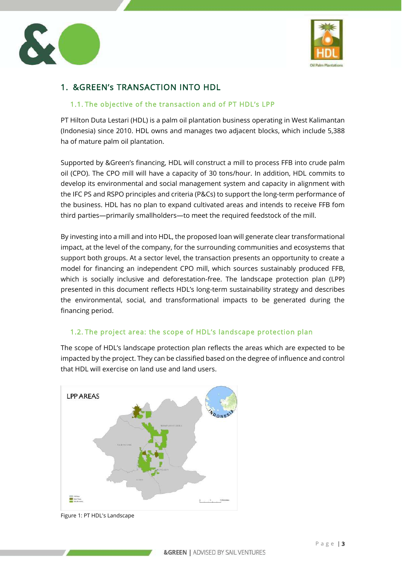



# <span id="page-2-0"></span>1. &GREEN's TRANSACTION INTO HDL

### <span id="page-2-1"></span>1.1. The objective of the transaction and of PT HDL's LPP

PT Hilton Duta Lestari (HDL) is a palm oil plantation business operating in West Kalimantan (Indonesia) since 2010. HDL owns and manages two adjacent blocks, which include 5,388 ha of mature palm oil plantation.

Supported by &Green's financing, HDL will construct a mill to process FFB into crude palm oil (CPO). The CPO mill will have a capacity of 30 tons/hour. In addition, HDL commits to develop its environmental and social management system and capacity in alignment with the IFC PS and RSPO principles and criteria (P&Cs) to support the long-term performance of the business. HDL has no plan to expand cultivated areas and intends to receive FFB fom third parties—primarily smallholders—to meet the required feedstock of the mill.

By investing into a mill and into HDL, the proposed loan will generate clear transformational impact, at the level of the company, for the surrounding communities and ecosystems that support both groups. At a sector level, the transaction presents an opportunity to create a model for financing an independent CPO mill, which sources sustainably produced FFB, which is socially inclusive and deforestation-free. The landscape protection plan (LPP) presented in this document reflects HDL's long-term sustainability strategy and describes the environmental, social, and transformational impacts to be generated during the financing period.

## <span id="page-2-2"></span>1.2. The project area: the scope of HDL's landscape protection plan

The scope of HDL's landscape protection plan reflects the areas which are expected to be impacted by the project. They can be classified based on the degree of influence and control that HDL will exercise on land use and land users.



Figure 1: PT HDL's Landscape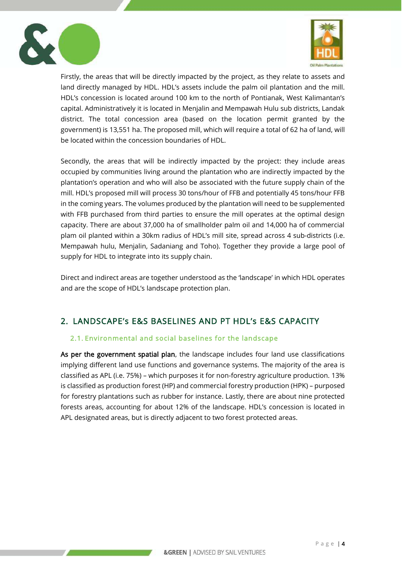



Firstly, the areas that will be directly impacted by the project, as they relate to assets and land directly managed by HDL. HDL's assets include the palm oil plantation and the mill. HDL's concession is located around 100 km to the north of Pontianak, West Kalimantan's capital. Administratively it is located in Menjalin and Mempawah Hulu sub districts, Landak district. The total concession area (based on the location permit granted by the government) is 13,551 ha. The proposed mill, which will require a total of 62 ha of land, will be located within the concession boundaries of HDL.

Secondly, the areas that will be indirectly impacted by the project: they include areas occupied by communities living around the plantation who are indirectly impacted by the plantation's operation and who will also be associated with the future supply chain of the mill. HDL's proposed mill will process 30 tons/hour of FFB and potentially 45 tons/hour FFB in the coming years. The volumes produced by the plantation will need to be supplemented with FFB purchased from third parties to ensure the mill operates at the optimal design capacity. There are about 37,000 ha of smallholder palm oil and 14,000 ha of commercial plam oil planted within a 30km radius of HDL's mill site, spread across 4 sub-districts (i.e. Mempawah hulu, Menjalin, Sadaniang and Toho). Together they provide a large pool of supply for HDL to integrate into its supply chain.

Direct and indirect areas are together understood as the 'landscape' in which HDL operates and are the scope of HDL's landscape protection plan.

# <span id="page-3-0"></span>2. LANDSCAPE's E&S BASELINES AND PT HDL's E&S CAPACITY

## <span id="page-3-1"></span>2.1. Environmental and social baselines for the landscape

As per the government spatial plan, the landscape includes four land use classifications implying different land use functions and governance systems. The majority of the area is classified as APL (i.e. 75%) – which purposes it for non-forestry agriculture production. 13% is classified as production forest (HP) and commercial forestry production (HPK) – purposed for forestry plantations such as rubber for instance. Lastly, there are about nine protected forests areas, accounting for about 12% of the landscape. HDL's concession is located in APL designated areas, but is directly adjacent to two forest protected areas.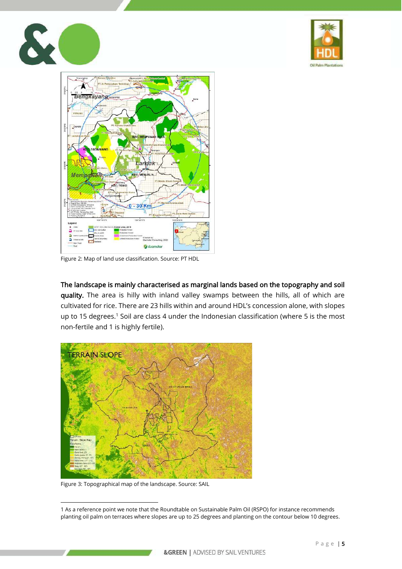





Figure 2: Map of land use classification. Source: PT HDL

The landscape is mainly characterised as marginal lands based on the topography and soil quality. The area is hilly with inland valley swamps between the hills, all of which are cultivated for rice. There are 23 hills within and around HDL's concession alone, with slopes up to 15 degrees.<sup>1</sup> Soil are class 4 under the Indonesian classification (where 5 is the most non-fertile and 1 is highly fertile).



Figure 3: Topographical map of the landscape. Source: SAIL

<sup>1</sup> As a reference point we note that the Roundtable on Sustainable Palm Oil (RSPO) for instance recommends planting oil palm on terraces where slopes are up to 25 degrees and planting on the contour below 10 degrees.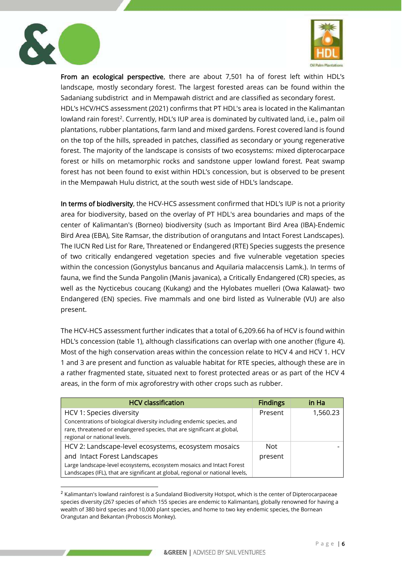

From an ecological perspective, there are about 7,501 ha of forest left within HDL's landscape, mostly secondary forest. The largest forested areas can be found within the Sadaniang subdistrict and in Mempawah district and are classified as secondary forest. HDL's HCV/HCS assessment (2021) confirms that PT HDL's area is located in the Kalimantan lowland rain forest<sup>2</sup>. Currently, HDL's IUP area is dominated by cultivated land, i.e., palm oil plantations, rubber plantations, farm land and mixed gardens. Forest covered land is found on the top of the hills, spreaded in patches, classified as secondary or young regenerative forest. The majority of the landscape is consists of two ecosystems: mixed dipterocarpace forest or hills on metamorphic rocks and sandstone upper lowland forest. Peat swamp forest has not been found to exist within HDL's concession, but is observed to be present in the Mempawah Hulu district, at the south west side of HDL's landscape.

In terms of biodiversity, the HCV-HCS assessment confirmed that HDL's IUP is not a priority area for biodiversity, based on the overlay of PT HDL's area boundaries and maps of the center of Kalimantan's (Borneo) biodiversity (such as Important Bird Area (IBA)-Endemic Bird Area (EBA), Site Ramsar, the distribution of orangutans and Intact Forest Landscapes). The IUCN Red List for Rare, Threatened or Endangered (RTE) Species suggests the presence of two critically endangered vegetation species and five vulnerable vegetation species within the concession (Gonystylus bancanus and Aquilaria malaccensis Lamk.). In terms of fauna, we find the Sunda Pangolin (Manis javanica), a Critically Endangered (CR) species, as well as the Nycticebus coucang (Kukang) and the Hylobates muelleri (Owa Kalawat)- two Endangered (EN) species. Five mammals and one bird listed as Vulnerable (VU) are also present.

The HCV-HCS assessment further indicates that a total of 6,209.66 ha of HCV is found within HDL's concession (table 1), although classifications can overlap with one another (figure 4). Most of the high conservation areas within the concession relate to HCV 4 and HCV 1. HCV 1 and 3 are present and function as valuable habitat for RTE species, although these are in a rather fragmented state, situated next to forest protected areas or as part of the HCV 4 areas, in the form of mix agroforestry with other crops such as rubber.

| <b>HCV classification</b>                                                                                                                                                                                    | <b>Findings</b> | in Ha    |
|--------------------------------------------------------------------------------------------------------------------------------------------------------------------------------------------------------------|-----------------|----------|
| HCV 1: Species diversity<br>Concentrations of biological diversity including endemic species, and<br>rare, threatened or endangered species, that are significant at global,<br>regional or national levels. | Present         | 1,560.23 |
| HCV 2: Landscape-level ecosystems, ecosystem mosaics                                                                                                                                                         | Not.            |          |
| and Intact Forest Landscapes                                                                                                                                                                                 | present         |          |
| Large landscape-level ecosystems, ecosystem mosaics and Intact Forest<br>Landscapes (IFL), that are significant at global, regional or national levels,                                                      |                 |          |

<sup>&</sup>lt;sup>2</sup> Kalimantan's lowland rainforest is a Sundaland Biodiversity Hotspot, which is the center of Dipterocarpaceae species diversity (267 species of which 155 species are endemic to Kalimantan), globally renowned for having a wealth of 380 bird species and 10,000 plant species, and home to two key endemic species, the Bornean Orangutan and Bekantan (Proboscis Monkey).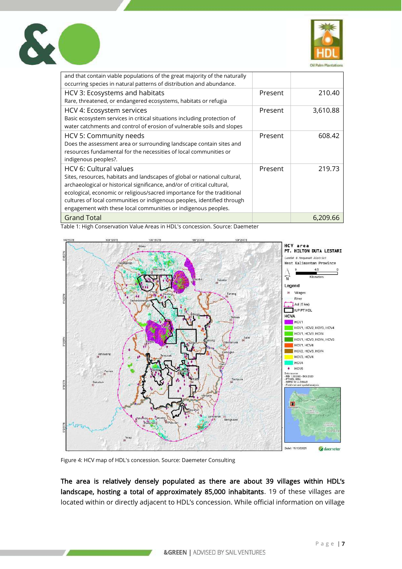



| and that contain viable populations of the great majority of the naturally<br>occurring species in natural patterns of distribution and abundance.                                                                                                                                                                                                                                                     |         |          |
|--------------------------------------------------------------------------------------------------------------------------------------------------------------------------------------------------------------------------------------------------------------------------------------------------------------------------------------------------------------------------------------------------------|---------|----------|
| HCV 3: Ecosystems and habitats<br>Rare, threatened, or endangered ecosystems, habitats or refugia                                                                                                                                                                                                                                                                                                      | Present | 210.40   |
| HCV 4: Ecosystem services<br>Basic ecosystem services in critical situations including protection of<br>water catchments and control of erosion of vulnerable soils and slopes                                                                                                                                                                                                                         | Present | 3,610.88 |
| HCV 5: Community needs<br>Does the assessment area or surrounding landscape contain sites and<br>resources fundamental for the necessities of local communities or<br>indigenous peoples?.                                                                                                                                                                                                             | Present | 608.42   |
| HCV 6: Cultural values<br>Sites, resources, habitats and landscapes of global or national cultural,<br>archaeological or historical significance, and/or of critical cultural,<br>ecological, economic or religious/sacred importance for the traditional<br>cultures of local communities or indigenous peoples, identified through<br>engagement with these local communities or indigenous peoples. | Present | 219.73   |
| <b>Grand Total</b>                                                                                                                                                                                                                                                                                                                                                                                     |         | 6,209.66 |

Table 1: High Conservation Value Areas in HDL's concession. Source: Daemeter



Figure 4: HCV map of HDL's concession. Source: Daemeter Consulting

The area is relatively densely populated as there are about 39 villages within HDL's landscape, hosting a total of approximately 85,000 inhabitants. 19 of these villages are located within or directly adjacent to HDL's concession. While official information on village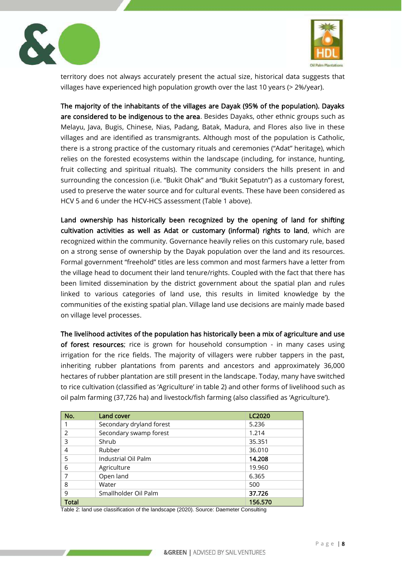



territory does not always accurately present the actual size, historical data suggests that villages have experienced high population growth over the last 10 years (> 2%/year).

The majority of the inhabitants of the villages are Dayak (95% of the population). Dayaks are considered to be indigenous to the area. Besides Dayaks, other ethnic groups such as Melayu, Java, Bugis, Chinese, Nias, Padang, Batak, Madura, and Flores also live in these villages and are identified as transmigrants. Although most of the population is Catholic, there is a strong practice of the customary rituals and ceremonies ("Adat" heritage), which relies on the forested ecosystems within the landscape (including, for instance, hunting, fruit collecting and spiritual rituals). The community considers the hills present in and surrounding the concession (i.e. "Bukit Ohak" and "Bukit Sepatutn") as a customary forest, used to preserve the water source and for cultural events. These have been considered as HCV 5 and 6 under the HCV-HCS assessment (Table 1 above).

Land ownership has historically been recognized by the opening of land for shifting cultivation activities as well as Adat or customary (informal) rights to land, which are recognized within the community. Governance heavily relies on this customary rule, based on a strong sense of ownership by the Dayak population over the land and its resources. Formal government "freehold" titles are less common and most farmers have a letter from the village head to document their land tenure/rights. Coupled with the fact that there has been limited dissemination by the district government about the spatial plan and rules linked to various categories of land use, this results in limited knowledge by the communities of the existing spatial plan. Village land use decisions are mainly made based on village level processes.

The livelihood activites of the population has historically been a mix of agriculture and use of forest resources; rice is grown for household consumption - in many cases using irrigation for the rice fields. The majority of villagers were rubber tappers in the past, inheriting rubber plantations from parents and ancestors and approximately 36,000 hectares of rubber plantation are still present in the landscape. Today, many have switched to rice cultivation (classified as 'Agriculture' in table 2) and other forms of livelihood such as oil palm farming (37,726 ha) and livestock/fish farming (also classified as 'Agriculture').

| No.            | <b>Land cover</b>        | <b>LC2020</b> |
|----------------|--------------------------|---------------|
|                | Secondary dryland forest | 5.236         |
| $\mathcal{P}$  | Secondary swamp forest   | 1.214         |
| 3              | Shrub                    | 35.351        |
| $\overline{4}$ | Rubber                   | 36.010        |
| 5              | Industrial Oil Palm      | 14.208        |
| 6              | Agriculture              | 19.960        |
|                | Open land                | 6.365         |
| 8              | Water                    | 500           |
| 9              | Smallholder Oil Palm     | 37.726        |
| Total          |                          | 156.570       |

Table 2: land use classification of the landscape (2020). Source: Daemeter Consulting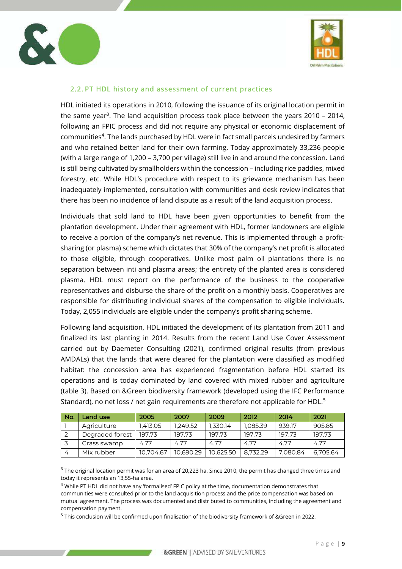



## <span id="page-8-0"></span>2.2. PT HDL history and assessment of current practices

HDL initiated its operations in 2010, following the issuance of its original location permit in the same year<sup>3</sup>. The land acquisition process took place between the years 2010 – 2014, following an FPIC process and did not require any physical or economic displacement of communities<sup>4</sup> . The lands purchased by HDL were in fact small parcels undesired by farmers and who retained better land for their own farming. Today approximately 33,236 people (with a large range of 1,200 – 3,700 per village) still live in and around the concession. Land is still being cultivated by smallholders within the concession – including rice paddies, mixed forestry, etc. While HDL's procedure with respect to its grievance mechanism has been inadequately implemented, consultation with communities and desk review indicates that there has been no incidence of land dispute as a result of the land acquisition process.

Individuals that sold land to HDL have been given opportunities to benefit from the plantation development. Under their agreement with HDL, former landowners are eligible to receive a portion of the company's net revenue. This is implemented through a profitsharing (or plasma) scheme which dictates that 30% of the company's net profit is allocated to those eligible, through cooperatives. Unlike most palm oil plantations there is no separation between inti and plasma areas; the entirety of the planted area is considered plasma. HDL must report on the performance of the business to the cooperative representatives and disburse the share of the profit on a monthly basis. Cooperatives are responsible for distributing individual shares of the compensation to eligible individuals. Today, 2,055 individuals are eligible under the company's profit sharing scheme.

Following land acquisition, HDL initiated the development of its plantation from 2011 and finalized its last planting in 2014. Results from the recent Land Use Cover Assessment carried out by Daemeter Consulting (2021), confirmed original results (from previous AMDALs) that the lands that were cleared for the plantation were classified as modified habitat: the concession area has experienced fragmentation before HDL started its operations and is today dominated by land covered with mixed rubber and agriculture (table 3). Based on &Green biodiversity framework (developed using the IFC Performance Standard), no net loss / net gain requirements are therefore not applicable for HDL.<sup>5</sup>

| No. | Land use        | 2005      | 2007      | 2009      | 2012     | 2014     | 2021     |
|-----|-----------------|-----------|-----------|-----------|----------|----------|----------|
|     | Agriculture     | 1.413.05  | 1.249.52  | 1.330.14  | 1.085.39 | 939.17   | 905.85   |
|     | Degraded forest | 197.73    | 197.73    | 197.73    | 197.73   | 197.73   | 197.73   |
|     | Grass swamp     | 4.77      | 4.77      | 4.77      | 4.77     | 4.77     | 4.77     |
|     | Mix rubber      | 10.704.67 | 10.690.29 | 10.625.50 | 8.732.29 | 7.080.84 | 6.705.64 |

 $^3$  The original location permit was for an area of 20,223 ha. Since 2010, the permit has changed three times and today it represents an 13,55-ha area.

<sup>4</sup> While PT HDL did not have any 'formalised' FPIC policy at the time, documentation demonstrates that communities were consulted prior to the land acquisition process and the price compensation was based on mutual agreement. The process was documented and distributed to communities, including the agreement and compensation payment.

<sup>&</sup>lt;sup>5</sup> This conclusion will be confirmed upon finalisation of the biodiversity framework of &Green in 2022.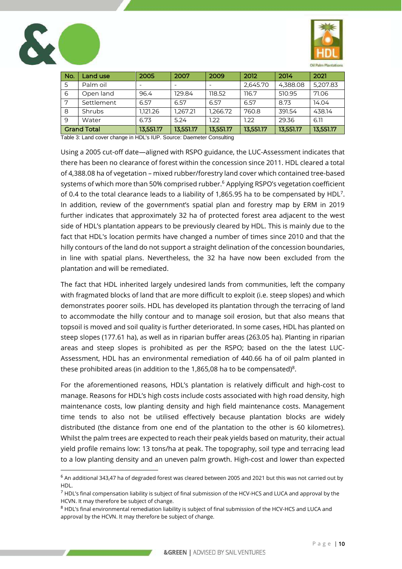

| No. | Land use           | 2005      | 2007      | 2009      | 2012      | 2014      | 2021      |
|-----|--------------------|-----------|-----------|-----------|-----------|-----------|-----------|
| 5   | Palm oil           |           |           |           | 2.645.70  | 4,388.08  | 5,207.83  |
| 6   | Open land          | 96.4      | 129.84    | 118.52    | 116.7     | 510.95    | 71.06     |
| 7   | Settlement         | 6.57      | 6.57      | 6.57      | 6.57      | 8.73      | 14.04     |
| 8   | Shrubs             | 1.121.26  | 1.267.21  | 1,266.72  | 760.8     | 391.54    | 438.14    |
| 9   | Water              | 6.73      | 5.24      | 1.22      | 1.22      | 29.36     | 6.11      |
|     | <b>Grand Total</b> | 13,551.17 | 13,551.17 | 13,551.17 | 13,551.17 | 13,551.17 | 13,551.17 |

Table 3: Land cover change in HDL's IUP. Source: Daemeter Consulting

Using a 2005 cut-off date—aligned with RSPO guidance, the LUC-Assessment indicates that there has been no clearance of forest within the concession since 2011. HDL cleared a total of 4,388.08 ha of vegetation – mixed rubber/forestry land cover which contained tree-based systems of which more than 50% comprised rubber. <sup>6</sup> Applying RSPO's vegetation coefficient of 0.4 to the total clearance leads to a liability of 1,865.95 ha to be compensated by HDL<sup>7</sup> . In addition, review of the government's spatial plan and forestry map by ERM in 2019 further indicates that approximately 32 ha of protected forest area adjacent to the west side of HDL's plantation appears to be previously cleared by HDL. This is mainly due to the fact that HDL's location permits have changed a number of times since 2010 and that the hilly contours of the land do not support a straight delination of the concession boundaries, in line with spatial plans. Nevertheless, the 32 ha have now been excluded from the plantation and will be remediated.

The fact that HDL inherited largely undesired lands from communities, left the company with fragmated blocks of land that are more difficult to exploit (i.e. steep slopes) and which demonstrates poorer soils. HDL has developed its plantation through the terracing of land to accommodate the hilly contour and to manage soil erosion, but that also means that topsoil is moved and soil quality is further deteriorated. In some cases, HDL has planted on steep slopes (177.61 ha), as well as in riparian buffer areas (263.05 ha). Planting in riparian areas and steep slopes is prohibited as per the RSPO; based on the the latest LUC-Assessment, HDL has an environmental remediation of 440.66 ha of oil palm planted in these prohibited areas (in addition to the 1,865,08 ha to be compensated) $8$ .

For the aforementioned reasons, HDL's plantation is relatively difficult and high-cost to manage. Reasons for HDL's high costs include costs associated with high road density, high maintenance costs, low planting density and high field maintenance costs. Management time tends to also not be utilised effectively because plantation blocks are widely distributed (the distance from one end of the plantation to the other is 60 kilometres). Whilst the palm trees are expected to reach their peak yields based on maturity, their actual yield profile remains low: 13 tons/ha at peak. The topography, soil type and terracing lead to a low planting density and an uneven palm growth. High-cost and lower than expected

 $6$  An additional 343,47 ha of degraded forest was cleared between 2005 and 2021 but this was not carried out by HDL.

 $<sup>7</sup>$  HDL's final compensation liability is subject of final submission of the HCV-HCS and LUCA and approval by the</sup> HCVN. It may therefore be subject of change.

<sup>8</sup> HDL's final environmental remediation liability is subject of final submission of the HCV-HCS and LUCA and approval by the HCVN. It may therefore be subject of change.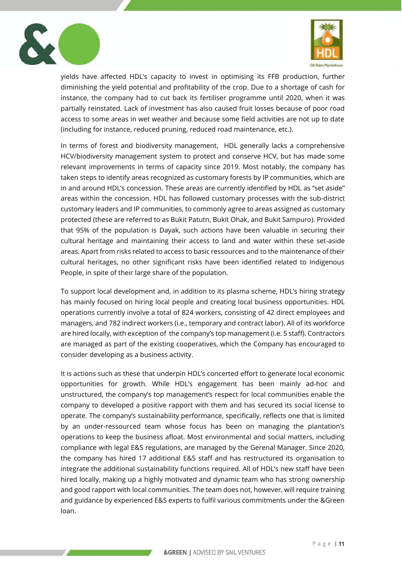



yields have affected HDL's capacity to invest in optimising its FFB production, further diminishing the yield potential and profitability of the crop. Due to a shortage of cash for instance, the company had to cut back its fertiliser programme until 2020, when it was partially reinstated. Lack of investment has also caused fruit losses because of poor road access to some areas in wet weather and because some field activities are not up to date (including for instance, reduced pruning, reduced road maintenance, etc.).

In terms of forest and biodiversity management, HDL generally lacks a comprehensive HCV/biodiversity management system to protect and conserve HCV, but has made some relevant improvements in terms of capacity since 2019. Most notably, the company has taken steps to identify areas recognized as customary forests by IP communities, which are in and around HDL's concession. These areas are currently identified by HDL as "set aside" areas within the concession. HDL has followed customary processes with the sub-district customary leaders and IP communities, to commonly agree to areas assigned as customary protected (these are referred to as Bukit Patutn, Bukit Ohak, and Bukit Sampuro). Provided that 95% of the population is Dayak, such actions have been valuable in securing their cultural heritage and maintaining their access to land and water within these set-aside areas. Apart from risks related to access to basic ressources and to the maintenance of their cultural heritages, no other significant risks have been identified related to Indigenous People, in spite of their large share of the population.

To support local development and, in addition to its plasma scheme, HDL's hiring strategy has mainly focused on hiring local people and creating local business opportunities. HDL operations currently involve a total of 824 workers, consisting of 42 direct employees and managers, and 782 indirect workers (i.e., temporary and contract labor). All of its workforce are hired locally, with exception of the company's top management (i.e. 5 staff). Contractors are managed as part of the existing cooperatives, which the Company has encouraged to consider developing as a business activity.

It is actions such as these that underpin HDL's concerted effort to generate local economic opportunities for growth. While HDL's engagement has been mainly ad-hoc and unstructured, the company's top management's respect for local communities enable the company to developed a positive rapport with them and has secured its social license to operate. The company's sustainability performance, specifically, reflects one that is limited by an under-ressourced team whose focus has been on managing the plantation's operations to keep the business afloat. Most environmental and social matters, including compliance with legal E&S regulations, are managed by the Gerenal Manager. Since 2020, the company has hired 17 additional E&S staff and has restructured its organisation to integrate the additional sustainability functions required. All of HDL's new staff have been hired locally, making up a highly motivated and dynamic team who has strong ownership and good rapport with local communities. The team does not, however, will require training and guidance by experienced E&S experts to fulfil various commitments under the &Green loan.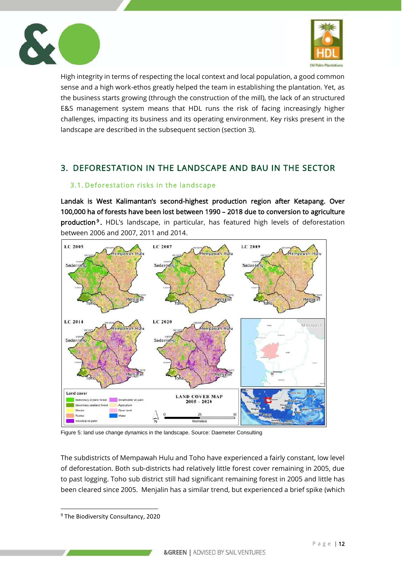



High integrity in terms of respecting the local context and local population, a good common sense and a high work-ethos greatly helped the team in establishing the plantation. Yet, as the business starts growing (through the construction of the mill), the lack of an structured E&S management system means that HDL runs the risk of facing increasingly higher challenges, impacting its business and its operating environment. Key risks present in the landscape are described in the subsequent section (section 3).

# <span id="page-11-0"></span>3. DEFORESTATION IN THE LANDSCAPE AND BAU IN THE SECTOR

## <span id="page-11-1"></span>3.1. Deforestation risks in the landscape

Landak is West Kalimantan's second-highest production region after Ketapang. Over 100,000 ha of forests have been lost between 1990 – 2018 due to conversion to agriculture **production<sup>9</sup>.** HDL's landscape, in particular, has featured high levels of deforestation between 2006 and 2007, 2011 and 2014.



Figure 5: land use change dynamics in the landscape. Source: Daemeter Consulting

The subdistricts of Mempawah Hulu and Toho have experienced a fairly constant, low level of deforestation. Both sub-districts had relatively little forest cover remaining in 2005, due to past logging. Toho sub district still had significant remaining forest in 2005 and little has been cleared since 2005. Menjalin has a similar trend, but experienced a brief spike (which

<sup>&</sup>lt;sup>9</sup> The Biodiversity Consultancy, 2020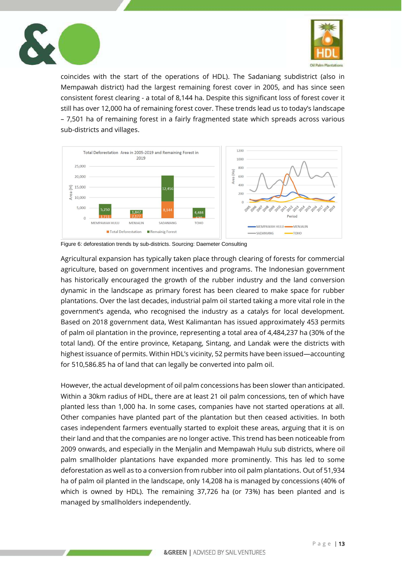



coincides with the start of the operations of HDL). The Sadaniang subdistrict (also in Mempawah district) had the largest remaining forest cover in 2005, and has since seen consistent forest clearing - a total of 8,144 ha. Despite this significant loss of forest cover it still has over 12,000 ha of remaining forest cover. These trends lead us to today's landscape – 7,501 ha of remaining forest in a fairly fragmented state which spreads across various sub-districts and villages.



Figure 6: deforestation trends by sub-districts. Sourcing: Daemeter Consulting

Agricultural expansion has typically taken place through clearing of forests for commercial agriculture, based on government incentives and programs. The Indonesian government has historically encouraged the growth of the rubber industry and the land conversion dynamic in the landscape as primary forest has been cleared to make space for rubber plantations. Over the last decades, industrial palm oil started taking a more vital role in the government's agenda, who recognised the industry as a catalys for local development. Based on 2018 government data, West Kalimantan has issued approximately 453 permits of palm oil plantation in the province, representing a total area of 4,484,237 ha (30% of the total land). Of the entire province, Ketapang, Sintang, and Landak were the districts with highest issuance of permits. Within HDL's vicinity, 52 permits have been issued—accounting for 510,586.85 ha of land that can legally be converted into palm oil.

However, the actual development of oil palm concessions has been slower than anticipated. Within a 30km radius of HDL, there are at least 21 oil palm concessions, ten of which have planted less than 1,000 ha. In some cases, companies have not started operations at all. Other companies have planted part of the plantation but then ceased activities. In both cases independent farmers eventually started to exploit these areas, arguing that it is on their land and that the companies are no longer active. This trend has been noticeable from 2009 onwards, and especially in the Menjalin and Mempawah Hulu sub districts, where oil palm smallholder plantations have expanded more prominently. This has led to some deforestation as well as to a conversion from rubber into oil palm plantations. Out of 51,934 ha of palm oil planted in the landscape, only 14,208 ha is managed by concessions (40% of which is owned by HDL). The remaining 37,726 ha (or 73%) has been planted and is managed by smallholders independently.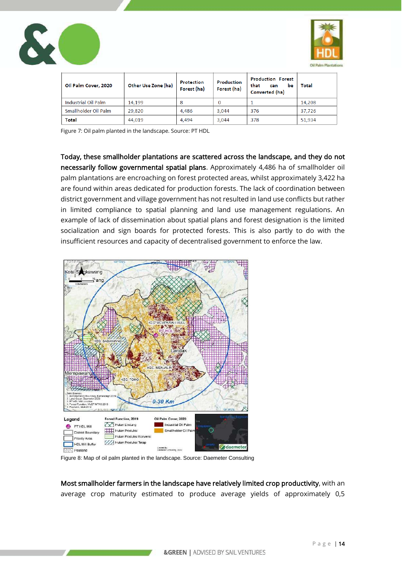



| Oil Palm Cover, 2020 | Other Use Zone (ha) | <b>Protection</b><br>Forest (ha) | Production<br>Forest (ha) | <b>Production Forest</b><br>that<br>be<br>can<br>Converted (ha) | Total  |
|----------------------|---------------------|----------------------------------|---------------------------|-----------------------------------------------------------------|--------|
| Industrial Oil Palm  | 14.199              | 8                                |                           |                                                                 | 14.208 |
| Smallholder Oil Palm | 29,820              | 4,486                            | 3,044                     | 376                                                             | 37,726 |
| Total                | 44,019              | 4.494                            | 3.044                     | 378                                                             | 51,934 |

Figure 7: Oil palm planted in the landscape. Source: PT HDL

Today, these smallholder plantations are scattered across the landscape, and they do not necessarily follow governmental spatial plans. Approximately 4,486 ha of smallholder oil palm plantations are encroaching on forest protected areas, whilst approximately 3,422 ha are found within areas dedicated for production forests. The lack of coordination between district government and village government has not resulted in land use conflicts but rather in limited compliance to spatial planning and land use management regulations. An example of lack of dissemination about spatial plans and forest designation is the limited socialization and sign boards for protected forests. This is also partly to do with the insufficient resources and capacity of decentralised government to enforce the law.



Figure 8: Map of oil palm planted in the landscape. Source: Daemeter Consulting

Most smallholder farmers in the landscape have relatively limited crop productivity, with an average crop maturity estimated to produce average yields of approximately 0,5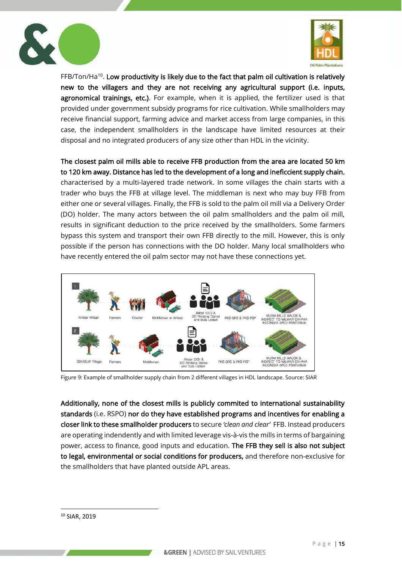

FFB/Ton/Ha $^{10}$ . Low productivity is likely due to the fact that palm oil cultivation is relatively new to the villagers and they are not receiving any agricultural support (i.e. inputs, agronomical trainings, etc.). For example, when it is applied, the fertilizer used is that provided under government subsidy programs for rice cultivation. While smallholders may receive financial support, farming advice and market access from large companies, in this case, the independent smallholders in the landscape have limited resources at their disposal and no integrated producers of any size other than HDL in the vicinity.

The closest palm oil mills able to receive FFB production from the area are located 50 km to 120 km away. Distance has led to the development of a long and ineficcient supply chain, characterised by a multi-layered trade network. In some villages the chain starts with a trader who buys the FFB at village level. The middleman is next who may buy FFB from either one or several villages. Finally, the FFB is sold to the palm oil mill via a Delivery Order (DO) holder. The many actors between the oil palm smallholders and the palm oil mill, results in significant deduction to the price received by the smallholders. Some farmers bypass this system and transport their own FFB directly to the mill. However, this is only possible if the person has connections with the DO holder. Many local smallholders who have recently entered the oil palm sector may not have these connections yet.



Figure 9: Example of smallholder supply chain from 2 different villages in HDL landscape. Source: SIAR

Additionally, none of the closest mills is publicly commited to international sustainability standards (i.e. RSPO) nor do they have established programs and incentives for enabling a closer link to these smallholder producers to secure *'clean and clear'* FFB. Instead producers are operating indendently and with limited leverage vis-à-vis the mills in terms of bargaining power, access to finance, good inputs and education. The FFB they sell is also not subject to legal, environmental or social conditions for producers, and therefore non-exclusive for the smallholders that have planted outside APL areas.

<sup>10</sup> SIAR, 2019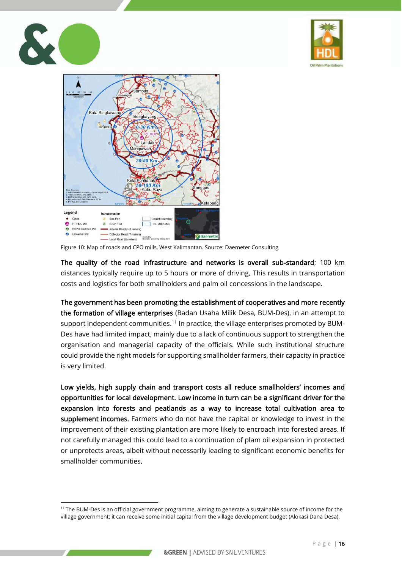





Figure 10: Map of roads and CPO mills, West Kalimantan. Source: Daemeter Consulting

The quality of the road infrastructure and networks is overall sub-standard; 100 km distances typically require up to 5 hours or more of driving. This results in transportation costs and logistics for both smallholders and palm oil concessions in the landscape.

The government has been promoting the establishment of cooperatives and more recently the formation of village enterprises (Badan Usaha Milik Desa, BUM-Des), in an attempt to support independent communities.<sup>11</sup> In practice, the village enterprises promoted by BUM-Des have had limited impact, mainly due to a lack of continuous support to strengthen the organisation and managerial capacity of the officials. While such institutional structure could provide the right models for supporting smallholder farmers, their capacity in practice is very limited.

Low yields, high supply chain and transport costs all reduce smallholders' incomes and opportunities for local development. Low income in turn can be a significant driver for the expansion into forests and peatlands as a way to increase total cultivation area to supplement incomes. Farmers who do not have the capital or knowledge to invest in the improvement of their existing plantation are more likely to encroach into forested areas. If not carefully managed this could lead to a continuation of plam oil expansion in protected or unprotects areas, albeit without necessarily leading to significant economic benefits for smallholder communities.

<sup>&</sup>lt;sup>11</sup> The BUM-Des is an official government programme, aiming to generate a sustainable source of income for the village government; it can receive some initial capital from the village development budget (Alokasi Dana Desa).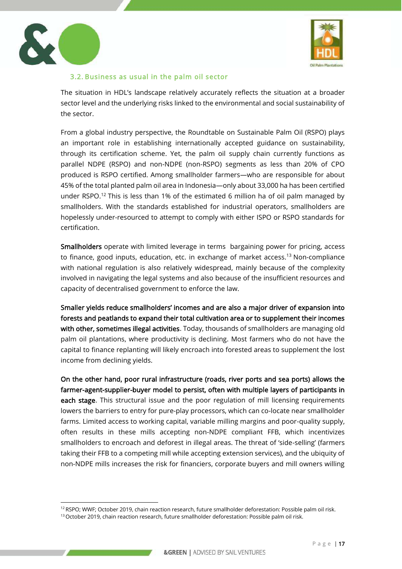

# <span id="page-16-0"></span>3.2. Business as usual in the palm oil sector

The situation in HDL's landscape relatively accurately reflects the situation at a broader sector level and the underlying risks linked to the environmental and social sustainability of the sector.

From a global industry perspective, the Roundtable on Sustainable Palm Oil (RSPO) plays an important role in establishing internationally accepted guidance on sustainability, through its certification scheme. Yet, the palm oil supply chain currently functions as parallel NDPE (RSPO) and non-NDPE (non-RSPO) segments as less than 20% of CPO produced is RSPO certified. Among smallholder farmers—who are responsible for about 45% of the total planted palm oil area in Indonesia—only about 33,000 ha has been certified under RSPO.<sup>12</sup> This is less than 1% of the estimated 6 million ha of oil palm managed by smallholders. With the standards established for industrial operators, smallholders are hopelessly under-resourced to attempt to comply with either ISPO or RSPO standards for certification.

Smallholders operate with limited leverage in terms bargaining power for pricing, access to finance, good inputs, education, etc. in exchange of market access.<sup>13</sup> Non-compliance with national regulation is also relatively widespread, mainly because of the complexity involved in navigating the legal systems and also because of the insufficient resources and capacity of decentralised government to enforce the law.

Smaller yields reduce smallholders' incomes and are also a major driver of expansion into forests and peatlands to expand their total cultivation area or to supplement their incomes with other, sometimes illegal activities. Today, thousands of smallholders are managing old palm oil plantations, where productivity is declining. Most farmers who do not have the capital to finance replanting will likely encroach into forested areas to supplement the lost income from declining yields.

On the other hand, poor rural infrastructure (roads, river ports and sea ports) allows the farmer-agent-supplier-buyer model to persist, often with multiple layers of participants in each stage. This structural issue and the poor regulation of mill licensing requirements lowers the barriers to entry for pure-play processors, which can co-locate near smallholder farms. Limited access to working capital, variable milling margins and poor-quality supply, often results in these mills accepting non-NDPE compliant FFB, which incentivizes smallholders to encroach and deforest in illegal areas. The threat of 'side-selling' (farmers taking their FFB to a competing mill while accepting extension services), and the ubiquity of non-NDPE mills increases the risk for financiers, corporate buyers and mill owners willing

<sup>12</sup> RSPO; WWF; October 2019, chain reaction research, future smallholder deforestation: Possible palm oil risk. <sup>13</sup> October 2019, chain reaction research, future smallholder deforestation: Possible palm oil risk.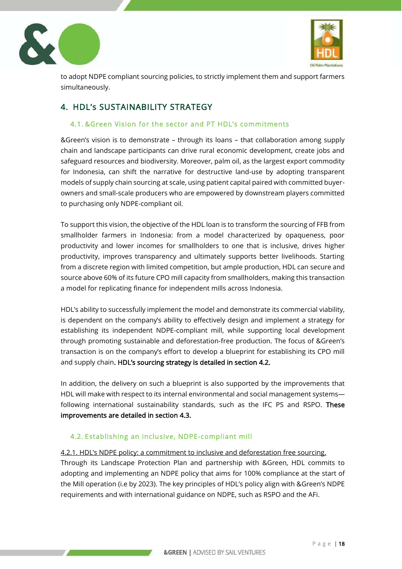



to adopt NDPE compliant sourcing policies, to strictly implement them and support farmers simultaneously.

# <span id="page-17-0"></span>4. HDL's SUSTAINABILITY STRATEGY

## <span id="page-17-1"></span>4.1. &Green Vision for the sector and PT HDL's commitments

&Green's vision is to demonstrate – through its loans – that collaboration among supply chain and landscape participants can drive rural economic development, create jobs and safeguard resources and biodiversity. Moreover, palm oil, as the largest export commodity for Indonesia, can shift the narrative for destructive land-use by adopting transparent models of supply chain sourcing at scale, using patient capital paired with committed buyerowners and small-scale producers who are empowered by downstream players committed to purchasing only NDPE-compliant oil.

To support this vision, the objective of the HDL loan is to transform the sourcing of FFB from smallholder farmers in Indonesia: from a model characterized by opaqueness, poor productivity and lower incomes for smallholders to one that is inclusive, drives higher productivity, improves transparency and ultimately supports better livelihoods. Starting from a discrete region with limited competition, but ample production, HDL can secure and source above 60% of its future CPO mill capacity from smallholders, making this transaction a model for replicating finance for independent mills across Indonesia.

HDL's ability to successfully implement the model and demonstrate its commercial viability, is dependent on the company's ability to effectively design and implement a strategy for establishing its independent NDPE-compliant mill, while supporting local development through promoting sustainable and deforestation-free production. The focus of &Green's transaction is on the company's effort to develop a blueprint for establishing its CPO mill and supply chain. HDL's sourcing strategy is detailed in section 4.2.

In addition, the delivery on such a blueprint is also supported by the improvements that HDL will make with respect to its internal environmental and social management systems following international sustainability standards, such as the IFC PS and RSPO. These improvements are detailed in section 4.3.

## <span id="page-17-2"></span>4.2. Establishing an inclusive, NDPE-compliant mill

4.2.1. HDL's NDPE policy: a commitment to inclusive and deforestation free sourcing. Through its Landscape Protection Plan and partnership with &Green, HDL commits to adopting and implementing an NDPE policy that aims for 100% compliance at the start of the Mill operation (i.e by 2023). The key principles of HDL's policy align with &Green's NDPE requirements and with international guidance on NDPE, such as RSPO and the AFi.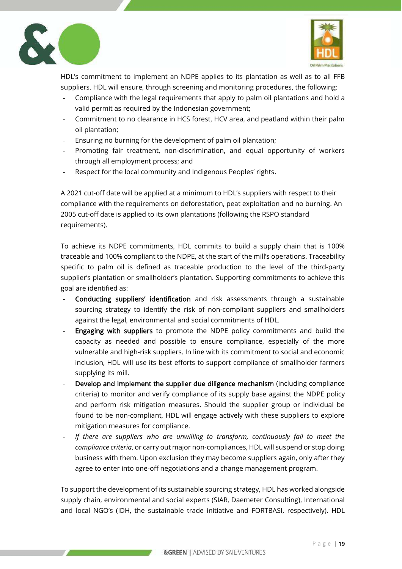



HDL's commitment to implement an NDPE applies to its plantation as well as to all FFB suppliers. HDL will ensure, through screening and monitoring procedures, the following:

- Compliance with the legal requirements that apply to palm oil plantations and hold a valid permit as required by the Indonesian government;
- Commitment to no clearance in HCS forest, HCV area, and peatland within their palm oil plantation;
- Ensuring no burning for the development of palm oil plantation;
- Promoting fair treatment, non-discrimination, and equal opportunity of workers through all employment process; and
- Respect for the local community and Indigenous Peoples' rights.

A 2021 cut-off date will be applied at a minimum to HDL's suppliers with respect to their compliance with the requirements on deforestation, peat exploitation and no burning. An 2005 cut-off date is applied to its own plantations (following the RSPO standard requirements).

To achieve its NDPE commitments, HDL commits to build a supply chain that is 100% traceable and 100% compliant to the NDPE, at the start of the mill's operations. Traceability specific to palm oil is defined as traceable production to the level of the third-party supplier's plantation or smallholder's plantation. Supporting commitments to achieve this goal are identified as:

- Conducting suppliers' identification and risk assessments through a sustainable sourcing strategy to identify the risk of non-compliant suppliers and smallholders against the legal, environmental and social commitments of HDL.
- Engaging with suppliers to promote the NDPE policy commitments and build the capacity as needed and possible to ensure compliance, especially of the more vulnerable and high-risk suppliers. In line with its commitment to social and economic inclusion, HDL will use its best efforts to support compliance of smallholder farmers supplying its mill.
- Develop and implement the supplier due diligence mechanism (including compliance criteria) to monitor and verify compliance of its supply base against the NDPE policy and perform risk mitigation measures. Should the supplier group or individual be found to be non-compliant, HDL will engage actively with these suppliers to explore mitigation measures for compliance.
- *If there are suppliers who are unwilling to transform, continuously fail to meet the compliance criteria*, or carry out major non-compliances, HDL will suspend or stop doing business with them. Upon exclusion they may become suppliers again, only after they agree to enter into one-off negotiations and a change management program.

To support the development of its sustainable sourcing strategy, HDL has worked alongside supply chain, environmental and social experts (SIAR, Daemeter Consulting), International and local NGO's (IDH, the sustainable trade initiative and FORTBASI, respectively). HDL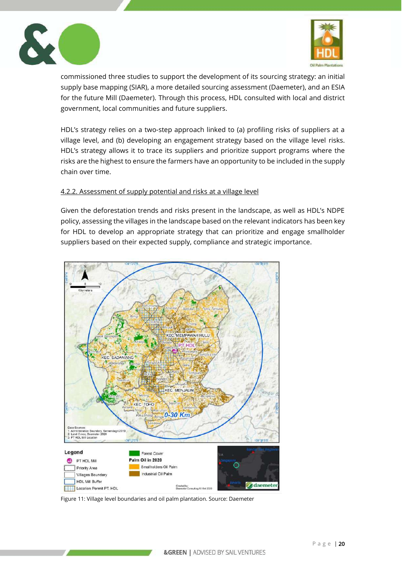



commissioned three studies to support the development of its sourcing strategy: an initial supply base mapping (SIAR), a more detailed sourcing assessment (Daemeter), and an ESIA for the future Mill (Daemeter). Through this process, HDL consulted with local and district government, local communities and future suppliers.

HDL's strategy relies on a two-step approach linked to (a) profiling risks of suppliers at a village level, and (b) developing an engagement strategy based on the village level risks. HDL's strategy allows it to trace its suppliers and prioritize support programs where the risks are the highest to ensure the farmers have an opportunity to be included in the supply chain over time.

#### 4.2.2. Assessment of supply potential and risks at a village level

Given the deforestation trends and risks present in the landscape, as well as HDL's NDPE policy, assessing the villages in the landscape based on the relevant indicators has been key for HDL to develop an appropriate strategy that can prioritize and engage smallholder suppliers based on their expected supply, compliance and strategic importance.



Figure 11: Village level boundaries and oil palm plantation. Source: Daemeter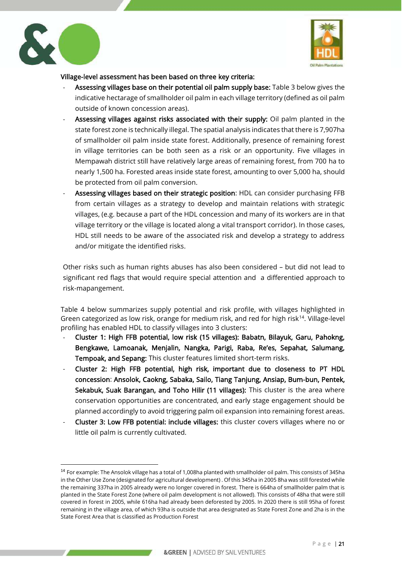

Village-level assessment has been based on three key criteria:

- Assessing villages base on their potential oil palm supply base: Table 3 below gives the indicative hectarage of smallholder oil palm in each village territory (defined as oil palm outside of known concession areas).
- Assessing villages against risks associated with their supply: Oil palm planted in the state forest zone is technically illegal. The spatial analysis indicates that there is 7,907ha of smallholder oil palm inside state forest. Additionally, presence of remaining forest in village territories can be both seen as a risk or an opportunity. Five villages in Mempawah district still have relatively large areas of remaining forest, from 700 ha to nearly 1,500 ha. Forested areas inside state forest, amounting to over 5,000 ha, should be protected from oil palm conversion.
- Assessing villages based on their strategic position: HDL can consider purchasing FFB from certain villages as a strategy to develop and maintain relations with strategic villages, (e.g. because a part of the HDL concession and many of its workers are in that village territory or the village is located along a vital transport corridor). In those cases, HDL still needs to be aware of the associated risk and develop a strategy to address and/or mitigate the identified risks.

Other risks such as human rights abuses has also been considered – but did not lead to significant red flags that would require special attention and a differentied approach to risk-mapangement.

Table 4 below summarizes supply potential and risk profile, with villages highlighted in Green categorized as low risk, orange for medium risk, and red for high risk<sup>14</sup>. Village-level profiling has enabled HDL to classify villages into 3 clusters:

- Cluster 1: High FFB potential, low risk (15 villages): Babatn, Bilayuk, Garu, Pahokng, Bengkawe, Lamoanak, Menjalin, Nangka, Parigi, Raba, Re'es, Sepahat, Salumang, Tempoak, and Sepang: This cluster features limited short-term risks.
- Cluster 2: High FFB potential, high risk, important due to closeness to PT HDL concession: Ansolok, Caokng, Sabaka, Sailo, Tiang Tanjung, Ansiap, Bum-bun, Pentek, Sekabuk, Suak Barangan, and Toho Hilir (11 villages): This cluster is the area where conservation opportunities are concentrated, and early stage engagement should be planned accordingly to avoid triggering palm oil expansion into remaining forest areas.
- Cluster 3: Low FFB potential: include villages: this cluster covers villages where no or little oil palm is currently cultivated.

 $14$  For example: The Ansolok village has a total of 1,008ha planted with smallholder oil palm. This consists of 345ha in the Other Use Zone (designated for agricultural development) . Of this 345ha in 2005 8ha was still forested while the remaining 337ha in 2005 already were no longer covered in forest. There is 664ha of smallholder palm that is planted in the State Forest Zone (where oil palm development is not allowed). This consists of 48ha that were still covered in forest in 2005, while 616ha had already been deforested by 2005. In 2020 there is still 95ha of forest remaining in the village area, of which 93ha is outside that area designated as State Forest Zone and 2ha is in the State Forest Area that is classified as Production Forest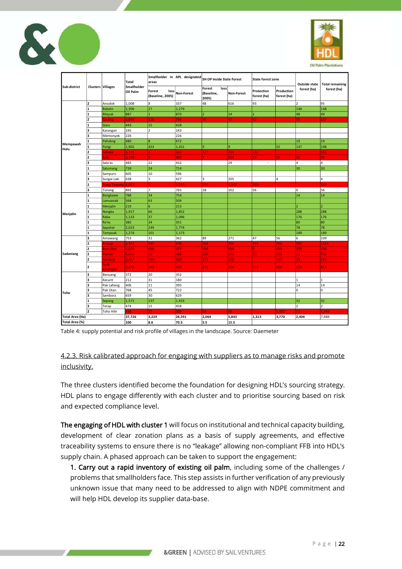



|                  |                                  |                                    | <b>Total</b>            | Smallholder in APL designated<br>areas |            | <b>SH OP Inside State Forest</b>      |                   | <b>State forest zone</b>  |                           | <b>Outside state</b>   | <b>Total remaining</b>   |
|------------------|----------------------------------|------------------------------------|-------------------------|----------------------------------------|------------|---------------------------------------|-------------------|---------------------------|---------------------------|------------------------|--------------------------|
| Sub-district     |                                  | <b>Clusters Villages</b>           | Smallholder<br>Oil Palm | loss<br>Forest<br>(Baseline, 2005)     | Non-Forest | Forest<br>loss<br>(Baseline,<br>2005) | <b>Non-Forest</b> | Protection<br>forest (ha) | Production<br>forest (ha) | forest (ha)            | forest (ha)              |
|                  | $\overline{a}$                   | Ansolok                            | 1,008                   | 8                                      | 337        | 48                                    | 616               | 93                        |                           | $\overline{a}$         | 95                       |
|                  | $\mathbf{1}$                     | <b>Babatn</b>                      | 1,306                   | 27                                     | 1,279      |                                       |                   |                           |                           | 148                    | 148                      |
|                  |                                  | <b>Bilayuk</b>                     | 887                     | 1                                      | 870        | 2                                     | 14                | 1                         |                           | 48                     | 49                       |
|                  | ,                                | Caokng                             | 1,099                   | 228                                    | 798        | 30                                    | 43                | 62                        |                           | 75                     | 137                      |
|                  |                                  | Garu                               | 443                     | 15                                     | 428        |                                       |                   |                           |                           |                        |                          |
|                  | 3                                | Karangan                           | 245                     | 2                                      | 243        |                                       |                   |                           |                           |                        |                          |
|                  | R                                | Mentonyek                          | 226                     |                                        | 226        |                                       |                   |                           |                           |                        |                          |
|                  |                                  | Pahokng                            | 680                     | 8                                      | 672        |                                       |                   |                           |                           | 19                     | 19                       |
| Mempawah<br>Hulu | $\mathbf{1}$                     | Parigi                             | 1,902                   | 453                                    | 1,431      | 9                                     | 9                 |                           | 52                        | 147                    | 198                      |
|                  |                                  | iabaka                             | 1,195                   | l4.                                    | 300        | 127                                   | 764               | 182                       |                           |                        | 182                      |
|                  | ,                                | Sailo                              | 1,100                   | 8                                      | 567        | 7                                     | 518               | 12                        | 15                        | 12                     | 39                       |
|                  | 3                                | Sala'as                            | 483                     | 22                                     | 432        |                                       | 29                | $\overline{\phantom{a}}$  |                           | 4                      | 4                        |
|                  |                                  | Salumang                           | 739                     | 24                                     | 714        |                                       |                   |                           |                           | 30                     | 30                       |
|                  | 3                                | Sampuro                            | 605                     | 10                                     | 596        |                                       |                   |                           |                           |                        |                          |
|                  | 3                                | Sungai Laki                        | 638                     | lз                                     | 427        | 3                                     | 205               |                           | 4                         |                        | $\overline{4}$           |
|                  | 2                                | Tiang Tanjung 3,067                |                         | ls.                                    | 1.344      | 215                                   | 1,502             | 260                       |                           |                        | 260                      |
|                  | 3                                | Tunang                             | 892                     | 7                                      | 765        | 18                                    | 102               | 56                        |                           | 0                      | 56                       |
|                  | $\mathbf{1}$                     | <b>Bengkawe</b>                    | 788                     | 34                                     | 754        |                                       |                   |                           |                           | 14                     | 14                       |
|                  | 1                                | Lamoanak                           | 568                     | 63                                     | 504        |                                       |                   |                           |                           |                        |                          |
|                  |                                  | Menjalin                           | 219                     | 6                                      | 213        |                                       |                   |                           |                           | $\overline{z}$         | $\overline{z}$           |
|                  | $\mathbf{1}$                     | Nangka                             | 1,917                   | 66                                     | 1,852      |                                       |                   |                           |                           | 288                    | 288                      |
| Menjalin         |                                  | Raba                               | 1,133                   | 37                                     | 1,096      |                                       |                   |                           |                           | 176                    | 176                      |
|                  |                                  | Re'es                              | 385                     | 34                                     | 351        |                                       |                   |                           |                           | 80                     | 80                       |
|                  | 1                                |                                    | 2,023                   | 249                                    | 1,774      |                                       |                   |                           |                           | 78                     | 78                       |
|                  |                                  | Sepahat                            | 1,274                   | 101                                    | 1,173      |                                       |                   |                           |                           | 189                    | 189                      |
|                  | 3                                | <b>Tempoak</b>                     | 753                     | 31                                     | 362        | 89                                    | 271               | 47                        | 56                        | 6                      | 109                      |
|                  | $\overline{a}$                   | Amawang                            |                         | 687                                    |            |                                       |                   | 444                       |                           |                        |                          |
| Sadaniang        |                                  | <b>Ansiap</b>                      | 2,351                   |                                        | 676        | 698                                   | 290               |                           | 292                       | 587                    | 1324                     |
|                  | $\overline{a}$<br>$\overline{a}$ | <b>Bum-Bun</b>                     | 1,033                   | 160<br>58                              | 377        | 106<br>200                            | 390               | 9.<br>13                  | 462<br>710                | 259<br>12 <sup>2</sup> | 730<br>735               |
|                  | $\overline{\mathbf{c}}$          | Pentek                             | 1,054                   | 249                                    | 466<br>659 | 171                                   | 331<br>378        |                           | 147                       | 39                     | 186                      |
|                  | 2                                | Sekabuk<br>Suak<br><b>Barangan</b> | 1,457<br>1,279          | 263                                    | 425        | 275                                   | 316               | 134                       | 550                       | 129                    | 813                      |
|                  | 3                                | Benuang                            | 372                     | 20                                     | 352        |                                       |                   |                           |                           |                        |                          |
|                  | 3                                | Kecurit                            | 212                     | 31                                     | 180        |                                       |                   |                           |                           | $\mathbf{1}$           | 1                        |
|                  | R                                | Pak Laheng                         | 406                     | 11                                     | 395        |                                       |                   |                           |                           | 14                     | 14                       |
|                  | 3                                | Pak Utan                           | 768                     | 45                                     | 722        |                                       |                   |                           |                           | 0                      | 0                        |
| Toho             | ą                                | Sambora                            | 659                     | 30                                     | 629        |                                       |                   |                           |                           |                        |                          |
|                  |                                  | Sepang                             | 1,571                   | 137                                    | 1,433      |                                       |                   |                           |                           | 32                     | 32                       |
|                  | 3                                | Terap                              | 474                     | 15                                     | 458        |                                       |                   |                           |                           | $\overline{2}$         | $\overline{\mathcal{L}}$ |
|                  | $\overline{a}$                   | Toho Hilir                         | 518                     | 177                                    | 309        | 63                                    | 68                |                           | 1,482                     | 11                     | 1.493                    |
| Total Area (Ha)  |                                  |                                    | 37,726                  | 3,229                                  | 26,591     | 2,064                                 | 5,843             | 1,313                     | 3,770                     | 2,406                  | 7,489                    |
| Total Area (%)   |                                  |                                    | 100                     | 8.6                                    | 70.5       | 5.5                                   | 15.5              |                           |                           |                        |                          |
|                  |                                  |                                    |                         |                                        |            |                                       |                   |                           |                           |                        |                          |

Table 4: supply potential and risk profile of villages in the landscape. Source: Daemeter

## 4.2.3. Risk calibrated approach for engaging with suppliers as to manage risks and promote inclusivity.

The three clusters identified become the foundation for designing HDL's sourcing strategy. HDL plans to engage differently with each cluster and to prioritise sourcing based on risk and expected compliance level.

The engaging of HDL with cluster 1 will focus on institutional and technical capacity building, development of clear zonation plans as a basis of supply agreements, and effective traceability systems to ensure there is no "leakage" allowing non-compliant FFB into HDL's supply chain. A phased approach can be taken to support the engagement:

1. Carry out a rapid inventory of existing oil palm, including some of the challenges / problems that smallholders face. This step assists in further verification of any previously unknown issue that many need to be addressed to align with NDPE commitment and will help HDL develop its supplier data-base.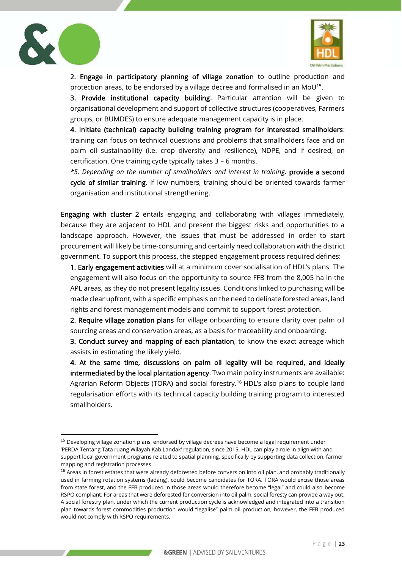



2. Engage in participatory planning of village zonation to outline production and protection areas, to be endorsed by a village decree and formalised in an MoU $^{\rm 15}$ .

3. Provide institutional capacity building: Particular attention will be given to organisational development and support of collective structures (cooperatives, Farmers groups, or BUMDES) to ensure adequate management capacity is in place.

4. Initiate (technical) capacity building training program for interested smallholders: training can focus on technical questions and problems that smallholders face and on palm oil sustainability (i.e. crop diversity and resilience), NDPE, and if desired, on certification. One training cycle typically takes 3 – 6 months.

*\*5. Depending on the number of smallholders and interest in training,* provide a second cycle of similar training. If low numbers, training should be oriented towards farmer organisation and institutional strengthening.

Engaging with cluster 2 entails engaging and collaborating with villages immediately, because they are adjacent to HDL and present the biggest risks and opportunities to a landscape approach. However, the issues that must be addressed in order to start procurement will likely be time-consuming and certainly need collaboration with the district government. To support this process, the stepped engagement process required defines:

1. Early engagement activities will at a minimum cover socialisation of HDL's plans. The engagement will also focus on the opportunity to source FFB from the 8,005 ha in the APL areas, as they do not present legality issues. Conditions linked to purchasing will be made clear upfront, with a specific emphasis on the need to delinate forested areas, land rights and forest management models and commit to support forest protection.

2. Require village zonation plans for village onboarding to ensure clarity over palm oil sourcing areas and conservation areas, as a basis for traceability and onboarding.

3. Conduct survey and mapping of each plantation, to know the exact acreage which assists in estimating the likely yield.

4. At the same time, discussions on palm oil legality will be required, and ideally intermediated by the local plantation agency. Two main policy instruments are available: Agrarian Reform Objects (TORA) and social forestry.<sup>16</sup> HDL's also plans to couple land regularisation efforts with its technical capacity building training program to interested smallholders.

<sup>&</sup>lt;sup>15</sup> Developing village zonation plans, endorsed by village decrees have become a legal requirement under 'PERDA Tentang Tata ruang Wilayah Kab Landak' regulation, since 2015. HDL can play a role in align with and support local government programs related to spatial planning, specifically by supporting data collection, farmer mapping and registration processes.

<sup>&</sup>lt;sup>16</sup> Areas in forest estates that were already deforested before conversion into oil plan, and probably traditionally used in farming rotation systems (ladang), could become candidates for TORA. TORA would excise those areas from state forest, and the FFB produced in those areas would therefore become "legal" and could also become RSPO compliant. For areas that were deforested for conversion into oil palm, social foresty can provide a way out. A social forestry plan, under which the current production cycle is acknowledged and integrated into a transition plan towards forest commodities production would "legalise" palm oil production; however, the FFB produced would not comply with RSPO requirements.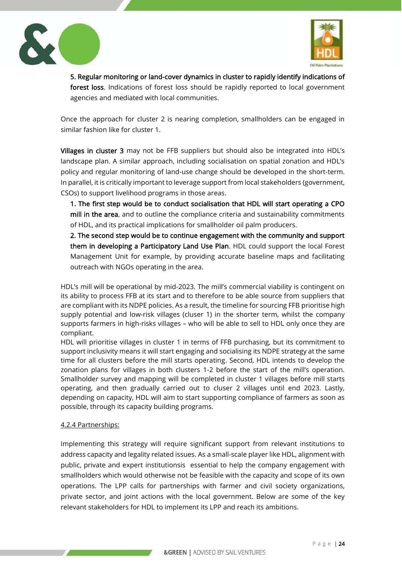



5. Regular monitoring or land-cover dynamics in cluster to rapidly identify indications of forest loss. Indications of forest loss should be rapidly reported to local government agencies and mediated with local communities.

Once the approach for cluster 2 is nearing completion, smallholders can be engaged in similar fashion like for cluster 1.

Villages in cluster 3 may not be FFB suppliers but should also be integrated into HDL's landscape plan. A similar approach, including socialisation on spatial zonation and HDL's policy and regular monitoring of land-use change should be developed in the short-term. In parallel, it is critically important to leverage support from local stakeholders (government, CSOs) to support livelihood programs in those areas.

1. The first step would be to conduct socialisation that HDL will start operating a CPO mill in the area, and to outline the compliance criteria and sustainability commitments of HDL, and its practical implications for smallholder oil palm producers.

2. The second step would be to continue engagement with the community and support them in developing a Participatory Land Use Plan. HDL could support the local Forest Management Unit for example, by providing accurate baseline maps and facilitating outreach with NGOs operating in the area.

HDL's mill will be operational by mid-2023. The mill's commercial viability is contingent on its ability to process FFB at its start and to therefore to be able source from suppliers that are compliant with its NDPE policies. As a result, the timeline for sourcing FFB prioritise high supply potential and low-risk villages (cluser 1) in the shorter term, whilst the company supports farmers in high-risks villages – who will be able to sell to HDL only once they are compliant.

HDL will prioritise villages in cluster 1 in terms of FFB purchasing, but its commitment to support inclusivity means it will start engaging and socialising its NDPE strategy at the same time for all clusters before the mill starts operating. Second, HDL intends to develop the zonation plans for villages in both clusters 1-2 before the start of the mill's operation. Smallholder survey and mapping will be completed in cluster 1 villages before mill starts operating, and then gradually carried out to cluser 2 villages until end 2023. Lastly, depending on capacity, HDL will aim to start supporting compliance of farmers as soon as possible, through its capacity building programs.

#### 4.2.4 Partnerships:

Implementing this strategy will require significant support from relevant institutions to address capacity and legality related issues. As a small-scale player like HDL, alignment with public, private and expert institutionsis essential to help the company engagement with smallholders which would otherwise not be feasible with the capacity and scope of its own operations. The LPP calls for partnerships with farmer and civil society organizations, private sector, and joint actions with the local government. Below are some of the key relevant stakeholders for HDL to implement its LPP and reach its ambitions.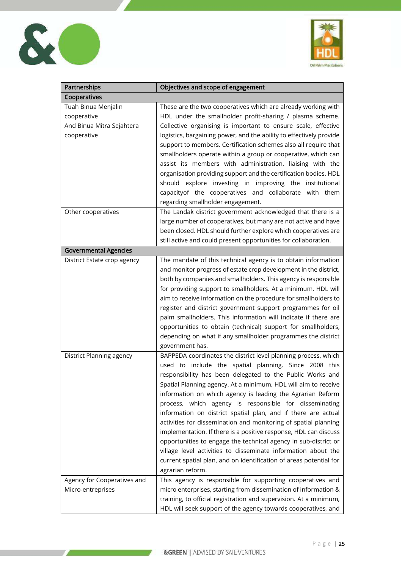



| Partnerships                 | Objectives and scope of engagement                                  |
|------------------------------|---------------------------------------------------------------------|
| Cooperatives                 |                                                                     |
| Tuah Binua Menjalin          | These are the two cooperatives which are already working with       |
| cooperative                  | HDL under the smallholder profit-sharing / plasma scheme.           |
| And Binua Mitra Sejahtera    | Collective organising is important to ensure scale, effective       |
| cooperative                  | logistics, bargaining power, and the ability to effectively provide |
|                              | support to members. Certification schemes also all require that     |
|                              | smallholders operate within a group or cooperative, which can       |
|                              | assist its members with administration, liaising with the           |
|                              | organisation providing support and the certification bodies. HDL    |
|                              | should explore investing in improving the institutional             |
|                              | capacityof the cooperatives and collaborate with them               |
|                              | regarding smallholder engagement.                                   |
| Other cooperatives           | The Landak district government acknowledged that there is a         |
|                              | large number of cooperatives, but many are not active and have      |
|                              | been closed. HDL should further explore which cooperatives are      |
|                              | still active and could present opportunities for collaboration.     |
| <b>Governmental Agencies</b> |                                                                     |
| District Estate crop agency  | The mandate of this technical agency is to obtain information       |
|                              | and monitor progress of estate crop development in the district,    |
|                              | both by companies and smallholders. This agency is responsible      |
|                              | for providing support to smallholders. At a minimum, HDL will       |
|                              | aim to receive information on the procedure for smallholders to     |
|                              | register and district government support programmes for oil         |
|                              | palm smallholders. This information will indicate if there are      |
|                              | opportunities to obtain (technical) support for smallholders,       |
|                              | depending on what if any smallholder programmes the district        |
|                              | government has.                                                     |
| District Planning agency     | BAPPEDA coordinates the district level planning process, which      |
|                              | used to include the spatial planning. Since 2008 this               |
|                              | responsibility has been delegated to the Public Works and           |
|                              | Spatial Planning agency. At a minimum, HDL will aim to receive      |
|                              | information on which agency is leading the Agrarian Reform          |
|                              | process, which agency is responsible for disseminating              |
|                              | information on district spatial plan, and if there are actual       |
|                              | activities for dissemination and monitoring of spatial planning     |
|                              | implementation. If there is a positive response, HDL can discuss    |
|                              | opportunities to engage the technical agency in sub-district or     |
|                              | village level activities to disseminate information about the       |
|                              | current spatial plan, and on identification of areas potential for  |
|                              | agrarian reform.                                                    |
| Agency for Cooperatives and  | This agency is responsible for supporting cooperatives and          |
| Micro-entreprises            | micro enterprises, starting from dissemination of information &     |
|                              | training, to official registration and supervision. At a minimum,   |
|                              | HDL will seek support of the agency towards cooperatives, and       |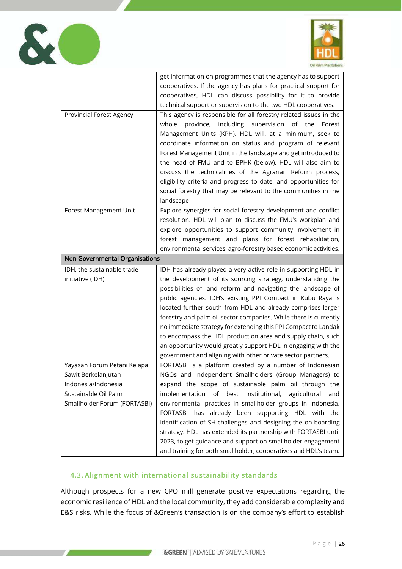



|                                 | get information on programmes that the agency has to support                                                                   |
|---------------------------------|--------------------------------------------------------------------------------------------------------------------------------|
|                                 | cooperatives. If the agency has plans for practical support for                                                                |
|                                 | cooperatives, HDL can discuss possibility for it to provide                                                                    |
|                                 | technical support or supervision to the two HDL cooperatives.                                                                  |
| <b>Provincial Forest Agency</b> | This agency is responsible for all forestry related issues in the                                                              |
|                                 | province, including supervision of the Forest<br>whole                                                                         |
|                                 | Management Units (KPH). HDL will, at a minimum, seek to                                                                        |
|                                 | coordinate information on status and program of relevant                                                                       |
|                                 | Forest Management Unit in the landscape and get introduced to                                                                  |
|                                 | the head of FMU and to BPHK (below). HDL will also aim to                                                                      |
|                                 | discuss the technicalities of the Agrarian Reform process,                                                                     |
|                                 | eligibility criteria and progress to date, and opportunities for                                                               |
|                                 | social forestry that may be relevant to the communities in the                                                                 |
|                                 | landscape                                                                                                                      |
| Forest Management Unit          | Explore synergies for social forestry development and conflict                                                                 |
|                                 | resolution. HDL will plan to discuss the FMU's workplan and                                                                    |
|                                 | explore opportunities to support community involvement in                                                                      |
|                                 | forest management and plans for forest rehabilitation,                                                                         |
|                                 | environmental services, agro-forestry based economic activities.                                                               |
| Non Governmental Organisations  |                                                                                                                                |
| IDH, the sustainable trade      | IDH has already played a very active role in supporting HDL in                                                                 |
| initiative (IDH)                | the development of its sourcing strategy, understanding the                                                                    |
|                                 | possibilities of land reform and navigating the landscape of                                                                   |
|                                 | public agencies. IDH's existing PPI Compact in Kubu Raya is                                                                    |
|                                 | located further south from HDL and already comprises larger                                                                    |
|                                 | forestry and palm oil sector companies. While there is currently                                                               |
|                                 | no immediate strategy for extending this PPI Compact to Landak                                                                 |
|                                 | to encompass the HDL production area and supply chain, such                                                                    |
|                                 | an opportunity would greatly support HDL in engaging with the                                                                  |
|                                 | government and aligning with other private sector partners.                                                                    |
| Yayasan Forum Petani Kelapa     | FORTASBI is a platform created by a number of Indonesian                                                                       |
| Sawit Berkelanjutan             | NGOs and Independent Smallholders (Group Managers) to                                                                          |
| Indonesia/Indonesia             | expand the scope of sustainable palm oil through the                                                                           |
| Sustainable Oil Palm            | best<br>institutional,<br>implementation<br>of<br>agricultural<br>and                                                          |
| Smallholder Forum (FORTASBI)    | environmental practices in smallholder groups in Indonesia.                                                                    |
|                                 | FORTASBI has already been supporting HDL with the                                                                              |
|                                 |                                                                                                                                |
|                                 | identification of SH-challenges and designing the on-boarding                                                                  |
|                                 | strategy. HDL has extended its partnership with FORTASBI until                                                                 |
|                                 | 2023, to get guidance and support on smallholder engagement<br>and training for both smallholder, cooperatives and HDL's team. |

#### <span id="page-25-0"></span>4.3. Alignment with international sustainability standards

Although prospects for a new CPO mill generate positive expectations regarding the economic resilience of HDL and the local community, they add considerable complexity and E&S risks. While the focus of &Green's transaction is on the company's effort to establish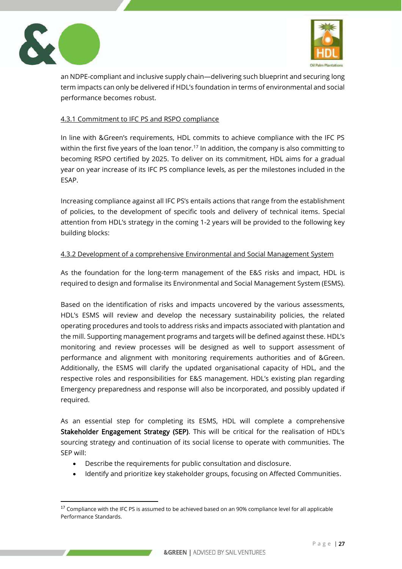



an NDPE-compliant and inclusive supply chain—delivering such blueprint and securing long term impacts can only be delivered if HDL's foundation in terms of environmental and social performance becomes robust.

#### 4.3.1 Commitment to IFC PS and RSPO compliance

In line with &Green's requirements, HDL commits to achieve compliance with the IFC PS within the first five years of the loan tenor. $^{17}$  In addition, the company is also committing to becoming RSPO certified by 2025. To deliver on its commitment, HDL aims for a gradual year on year increase of its IFC PS compliance levels, as per the milestones included in the ESAP.

Increasing compliance against all IFC PS's entails actions that range from the establishment of policies, to the development of specific tools and delivery of technical items. Special attention from HDL's strategy in the coming 1-2 years will be provided to the following key building blocks:

#### 4.3.2 Development of a comprehensive Environmental and Social Management System

As the foundation for the long-term management of the E&S risks and impact, HDL is required to design and formalise its Environmental and Social Management System (ESMS).

Based on the identification of risks and impacts uncovered by the various assessments, HDL's ESMS will review and develop the necessary sustainability policies, the related operating procedures and tools to address risks and impacts associated with plantation and the mill. Supporting management programs and targets will be defined against these. HDL's monitoring and review processes will be designed as well to support assessment of performance and alignment with monitoring requirements authorities and of &Green. Additionally, the ESMS will clarify the updated organisational capacity of HDL, and the respective roles and responsibilities for E&S management. HDL's existing plan regarding Emergency preparedness and response will also be incorporated, and possibly updated if required.

As an essential step for completing its ESMS, HDL will complete a comprehensive Stakeholder Engagement Strategy (SEP). This will be critical for the realisation of HDL's sourcing strategy and continuation of its social license to operate with communities. The SEP will:

- Describe the requirements for public consultation and disclosure.
- Identify and prioritize key stakeholder groups, focusing on Affected Communities.

<sup>&</sup>lt;sup>17</sup> Compliance with the IFC PS is assumed to be achieved based on an 90% compliance level for all applicable Performance Standards.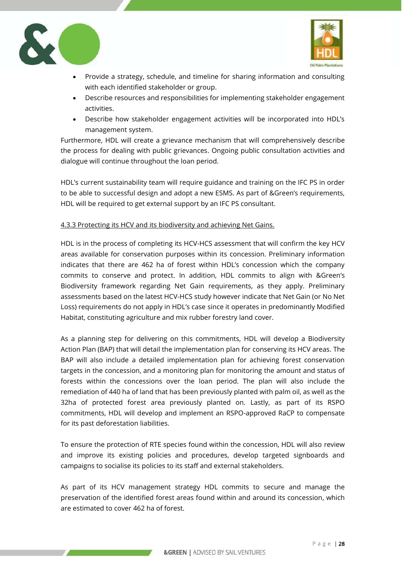



- Provide a strategy, schedule, and timeline for sharing information and consulting with each identified stakeholder or group.
- Describe resources and responsibilities for implementing stakeholder engagement activities.
- Describe how stakeholder engagement activities will be incorporated into HDL's management system.

Furthermore, HDL will create a grievance mechanism that will comprehensively describe the process for dealing with public grievances. Ongoing public consultation activities and dialogue will continue throughout the loan period.

HDL's current sustainability team will require guidance and training on the IFC PS in order to be able to successful design and adopt a new ESMS. As part of &Green's requirements, HDL will be required to get external support by an IFC PS consultant.

#### 4.3.3 Protecting its HCV and its biodiversity and achieving Net Gains.

HDL is in the process of completing its HCV-HCS assessment that will confirm the key HCV areas available for conservation purposes within its concession. Preliminary information indicates that there are 462 ha of forest within HDL's concession which the company commits to conserve and protect. In addition, HDL commits to align with &Green's Biodiversity framework regarding Net Gain requirements, as they apply. Preliminary assessments based on the latest HCV-HCS study however indicate that Net Gain (or No Net Loss) requirements do not apply in HDL's case since it operates in predominantly Modified Habitat, constituting agriculture and mix rubber forestry land cover.

As a planning step for delivering on this commitments, HDL will develop a Biodiversity Action Plan (BAP) that will detail the implementation plan for conserving its HCV areas. The BAP will also include a detailed implementation plan for achieving forest conservation targets in the concession, and a monitoring plan for monitoring the amount and status of forests within the concessions over the loan period. The plan will also include the remediation of 440 ha of land that has been previously planted with palm oil, as well as the 32ha of protected forest area previously planted on. Lastly, as part of its RSPO commitments, HDL will develop and implement an RSPO-approved RaCP to compensate for its past deforestation liabilities.

To ensure the protection of RTE species found within the concession, HDL will also review and improve its existing policies and procedures, develop targeted signboards and campaigns to socialise its policies to its staff and external stakeholders.

As part of its HCV management strategy HDL commits to secure and manage the preservation of the identified forest areas found within and around its concession, which are estimated to cover 462 ha of forest.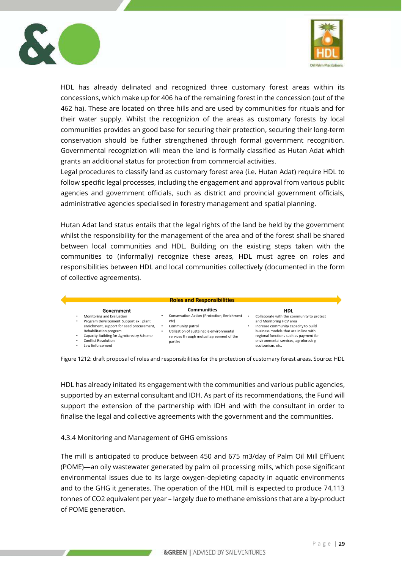



HDL has already delinated and recognized three customary forest areas within its concessions, which make up for 406 ha of the remaining forest in the concession (out of the 462 ha). These are located on three hills and are used by communities for rituals and for their water supply. Whilst the recognizion of the areas as customary forests by local communities provides an good base for securing their protection, securing their long-term conservation should be futher strengthened through formal government recognition. Governmental recogniztion will mean the land is formally classified as Hutan Adat which grants an additional status for protection from commercial activities.

Legal procedures to classify land as customary forest area (i.e. Hutan Adat) require HDL to follow specific legal processes, including the engagement and approval from various public agencies and government officials, such as district and provincial government officials, administrative agencies specialised in forestry management and spatial planning.

Hutan Adat land status entails that the legal rights of the land be held by the government whilst the responsibility for the management of the area and of the forest shall be shared between local communities and HDL. Building on the existing steps taken with the communities to (informally) recognize these areas, HDL must agree on roles and responsibilities between HDL and local communities collectively (documented in the form of collective agreements).

|                                                                                                                                                                                                                                          | <b>Roles and Responsibilities</b>                                                                                                                                          |                                                                                                                                                                                                                                                              |
|------------------------------------------------------------------------------------------------------------------------------------------------------------------------------------------------------------------------------------------|----------------------------------------------------------------------------------------------------------------------------------------------------------------------------|--------------------------------------------------------------------------------------------------------------------------------------------------------------------------------------------------------------------------------------------------------------|
| Government                                                                                                                                                                                                                               | <b>Communities</b>                                                                                                                                                         | HDL                                                                                                                                                                                                                                                          |
| Monitoring and Evaluation<br>Program Development Support ex : plant<br>enrichment, support for seed procurement,<br>Rehabilitation program<br>Capacity Building for Agroforestry Scheme<br><b>Conflict Resolution</b><br>Law Enforcement | Conservation Action (Protection, Enrichment<br>etc)<br>Community patrol<br>Utilization of sustainable environmental<br>services through mutual agreement of the<br>parties | Collaborate with the community to protect<br>and Monitoring HCV area<br>Increase community capacity to build<br>business models that are in line with<br>regional functions such as payment for<br>environmental services, agroforestry,<br>ecotourism, etc. |

Figure 1212: draft proposal of roles and responsibilities for the protection of customary forest areas. Source: HDL

HDL has already initated its engagement with the communities and various public agencies, supported by an external consultant and IDH. As part of its recommendations, the Fund will support the extension of the partnership with IDH and with the consultant in order to finalise the legal and collective agreements with the government and the communities.

#### 4.3.4 Monitoring and Management of GHG emissions

The mill is anticipated to produce between 450 and 675 m3/day of Palm Oil Mill Effluent (POME)—an oily wastewater generated by palm oil processing mills, which pose significant environmental issues due to its large oxygen-depleting capacity in aquatic environments and to the GHG it generates. The operation of the HDL mill is expected to produce 74,113 tonnes of CO2 equivalent per year – largely due to methane emissions that are a by-product of POME generation.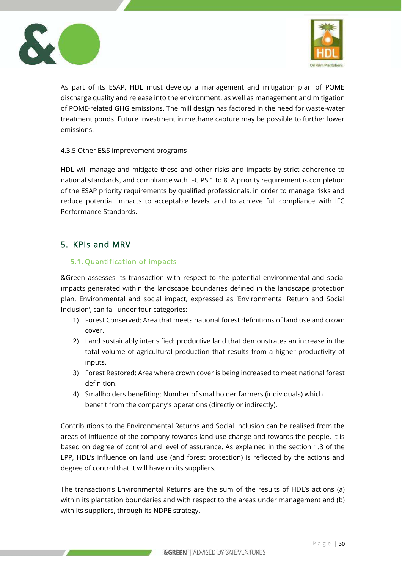



As part of its ESAP, HDL must develop a management and mitigation plan of POME discharge quality and release into the environment, as well as management and mitigation of POME-related GHG emissions. The mill design has factored in the need for waste-water treatment ponds. Future investment in methane capture may be possible to further lower emissions.

#### 4.3.5 Other E&S improvement programs

HDL will manage and mitigate these and other risks and impacts by strict adherence to national standards, and compliance with IFC PS 1 to 8. A priority requirement is completion of the ESAP priority requirements by qualified professionals, in order to manage risks and reduce potential impacts to acceptable levels, and to achieve full compliance with IFC Performance Standards.

# <span id="page-29-0"></span>5. KPIs and MRV

### <span id="page-29-1"></span>5.1. Quantification of impacts

&Green assesses its transaction with respect to the potential environmental and social impacts generated within the landscape boundaries defined in the landscape protection plan. Environmental and social impact, expressed as 'Environmental Return and Social Inclusion', can fall under four categories:

- 1) Forest Conserved: Area that meets national forest definitions of land use and crown cover.
- 2) Land sustainably intensified: productive land that demonstrates an increase in the total volume of agricultural production that results from a higher productivity of inputs.
- 3) Forest Restored: Area where crown cover is being increased to meet national forest definition.
- 4) Smallholders benefiting: Number of smallholder farmers (individuals) which benefit from the company's operations (directly or indirectly).

Contributions to the Environmental Returns and Social Inclusion can be realised from the areas of influence of the company towards land use change and towards the people. It is based on degree of control and level of assurance. As explained in the section 1.3 of the LPP, HDL's influence on land use (and forest protection) is reflected by the actions and degree of control that it will have on its suppliers.

The transaction's Environmental Returns are the sum of the results of HDL's actions (a) within its plantation boundaries and with respect to the areas under management and (b) with its suppliers, through its NDPE strategy.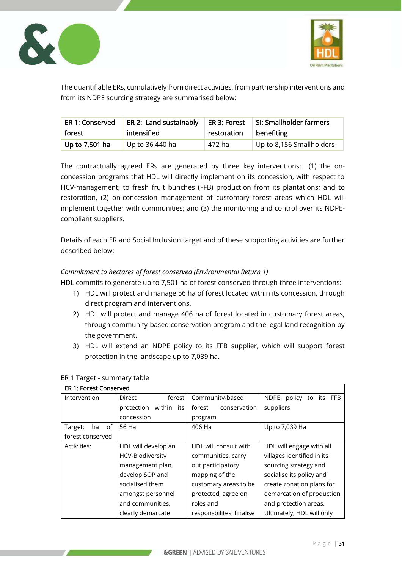



The quantifiable ERs, cumulatively from direct activities, from partnership interventions and from its NDPE sourcing strategy are summarised below:

| ER 1: Conserved | ER 2: Land sustainably | ER 3: Forest | SI: Smallholder farmers  |  |
|-----------------|------------------------|--------------|--------------------------|--|
| forest          | intensified            | restoration  | benefiting               |  |
| Up to 7,501 ha  | Up to 36,440 ha        | 472 ha       | Up to 8,156 Smallholders |  |

The contractually agreed ERs are generated by three key interventions: (1) the onconcession programs that HDL will directly implement on its concession, with respect to HCV-management; to fresh fruit bunches (FFB) production from its plantations; and to restoration, (2) on-concession management of customary forest areas which HDL will implement together with communities; and (3) the monitoring and control over its NDPEcompliant suppliers.

Details of each ER and Social Inclusion target and of these supporting activities are further described below:

## *Commitment to hectares of forest conserved (Environmental Return 1)*

HDL commits to generate up to 7,501 ha of forest conserved through three interventions:

- 1) HDL will protect and manage 56 ha of forest located within its concession, through direct program and interventions.
- 2) HDL will protect and manage 406 ha of forest located in customary forest areas, through community-based conservation program and the legal land recognition by the government.
- 3) HDL will extend an NDPE policy to its FFB supplier, which will support forest protection in the landscape up to 7,039 ha.

| <b>ER 1: Forest Conserved</b> |                          |                          |                                     |  |
|-------------------------------|--------------------------|--------------------------|-------------------------------------|--|
| Intervention                  | Direct<br>forest         | Community-based          | <b>NDPE</b><br>policy to its<br>FFB |  |
|                               | within its<br>protection | forest<br>conservation   | suppliers                           |  |
|                               | concession               | program                  |                                     |  |
| 0f<br>Target:<br>ha           | 56 Ha                    | 406 Ha                   | Up to 7,039 Ha                      |  |
| forest conserved              |                          |                          |                                     |  |
| Activities:                   | HDL will develop an      | HDL will consult with    | HDL will engage with all            |  |
|                               | <b>HCV-Biodiversity</b>  | communities, carry       | villages identified in its          |  |
|                               | management plan,         | out participatory        | sourcing strategy and               |  |
|                               | develop SOP and          | mapping of the           | socialise its policy and            |  |
|                               | socialised them          | customary areas to be    | create zonation plans for           |  |
|                               | amongst personnel        | protected, agree on      | demarcation of production           |  |
|                               | and communities,         | roles and                | and protection areas.               |  |
|                               | clearly demarcate        | responsbilites, finalise | Ultimately, HDL will only           |  |

#### ER 1 Target - summary table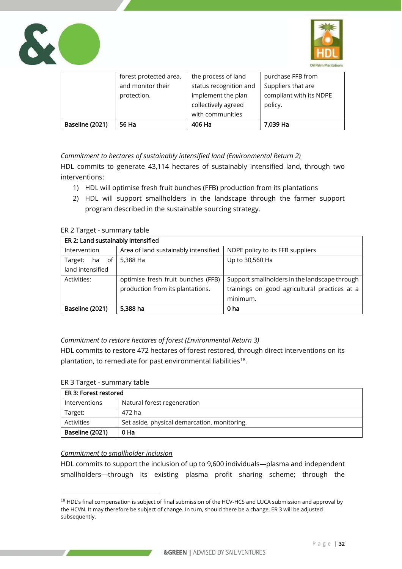



| Baseline (2021) | 56 Ha                  | collectively agreed<br>with communities<br>406 Ha | policy.<br>7,039 Ha     |
|-----------------|------------------------|---------------------------------------------------|-------------------------|
|                 | protection.            | implement the plan                                | compliant with its NDPE |
|                 | and monitor their      | status recognition and                            | Suppliers that are      |
|                 | forest protected area, | the process of land                               | purchase FFB from       |

*Commitment to hectares of sustainably intensified land (Environmental Return 2)*

HDL commits to generate 43,114 hectares of sustainably intensified land, through two interventions:

- 1) HDL will optimise fresh fruit bunches (FFB) production from its plantations
- 2) HDL will support smallholders in the landscape through the farmer support program described in the sustainable sourcing strategy.

| ER 2: Land sustainably intensified |                                      |                                               |  |
|------------------------------------|--------------------------------------|-----------------------------------------------|--|
| Intervention                       | Area of land sustainably intensified | NDPE policy to its FFB suppliers              |  |
| Target: ha of                      | 5,388 Ha                             | Up to 30,560 Ha                               |  |
| land intensified                   |                                      |                                               |  |
| Activities:                        | optimise fresh fruit bunches (FFB)   | Support smallholders in the landscape through |  |
|                                    | production from its plantations.     | trainings on good agricultural practices at a |  |
|                                    |                                      | minimum.                                      |  |
| Baseline (2021)                    | 5,388 ha                             | 0 <sub>ha</sub>                               |  |

#### ER 2 Target - summary table

#### *Commitment to restore hectares of forest (Environmental Return 3)*

HDL commits to restore 472 hectares of forest restored, through direct interventions on its plantation, to remediate for past environmental liabilities<sup>18</sup>.

#### ER 3 Target - summary table

| ER 3: Forest restored |                                              |  |
|-----------------------|----------------------------------------------|--|
| <b>Interventions</b>  | Natural forest regeneration                  |  |
| Target:               | 472 ha                                       |  |
| Activities            | Set aside, physical demarcation, monitoring. |  |
| Baseline (2021)       | 0 Ha                                         |  |

#### *Commitment to smallholder inclusion*

HDL commits to support the inclusion of up to 9,600 individuals—plasma and independent smallholders—through its existing plasma profit sharing scheme; through the

<sup>&</sup>lt;sup>18</sup> HDL's final compensation is subject of final submission of the HCV-HCS and LUCA submission and approval by the HCVN. It may therefore be subject of change. In turn, should there be a change, ER 3 will be adjusted subsequently.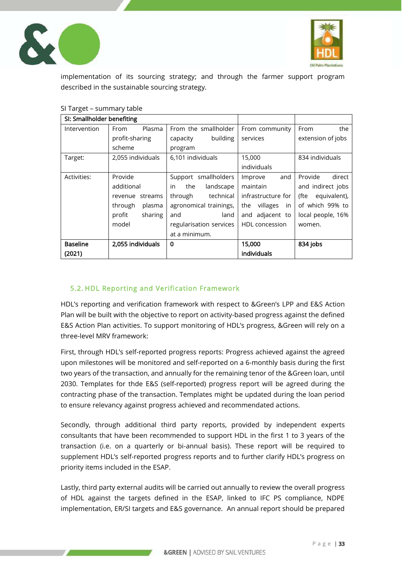



implementation of its sourcing strategy; and through the farmer support program described in the sustainable sourcing strategy.

| SI: Smallholder benefiting |                   |                         |                       |                      |
|----------------------------|-------------------|-------------------------|-----------------------|----------------------|
| Intervention               | Plasma<br>From    | From the smallholder    | From community        | From<br>the          |
|                            | profit-sharing    | building<br>capacity    | services              | extension of jobs    |
|                            | scheme            | program                 |                       |                      |
| Target:                    | 2,055 individuals | 6,101 individuals       | 15,000                | 834 individuals      |
|                            |                   |                         | individuals           |                      |
| <b>Activities:</b>         | Provide           | Support smallholders    | and<br>Improve        | direct<br>Provide    |
|                            | additional        | in<br>landscape<br>the  | maintain              | and indirect jobs    |
|                            | revenue streams   | technical<br>through    | infrastructure for    | equivalent),<br>(fte |
|                            | through<br>plasma | agronomical trainings,  | villages<br>the<br>in | of which 99% to      |
|                            | sharing<br>profit | land<br>and             | and adjacent to       | local people, 16%    |
|                            | model             | regularisation services | <b>HDL</b> concession | women.               |
|                            |                   | at a minimum.           |                       |                      |
| <b>Baseline</b>            | 2,055 individuals | $\mathbf 0$             | 15,000                | 834 jobs             |
| (2021)                     |                   |                         | individuals           |                      |

#### SI Target – summary table

#### <span id="page-32-0"></span>5.2. HDL Reporting and Verification Framework

HDL's reporting and verification framework with respect to &Green's LPP and E&S Action Plan will be built with the objective to report on activity-based progress against the defined E&S Action Plan activities. To support monitoring of HDL's progress, &Green will rely on a three-level MRV framework:

First, through HDL's self-reported progress reports: Progress achieved against the agreed upon milestones will be monitored and self-reported on a 6-monthly basis during the first two years of the transaction, and annually for the remaining tenor of the &Green loan, until 2030. Templates for thde E&S (self-reported) progress report will be agreed during the contracting phase of the transaction. Templates might be updated during the loan period to ensure relevancy against progress achieved and recommendated actions.

Secondly, through additional third party reports, provided by independent experts consultants that have been recommended to support HDL in the first 1 to 3 years of the transaction (i.e. on a quarterly or bi-annual basis). These report will be required to supplement HDL's self-reported progress reports and to further clarify HDL's progress on priority items included in the ESAP.

Lastly, third party external audits will be carried out annually to review the overall progress of HDL against the targets defined in the ESAP, linked to IFC PS compliance, NDPE implementation, ER/SI targets and E&S governance. An annual report should be prepared